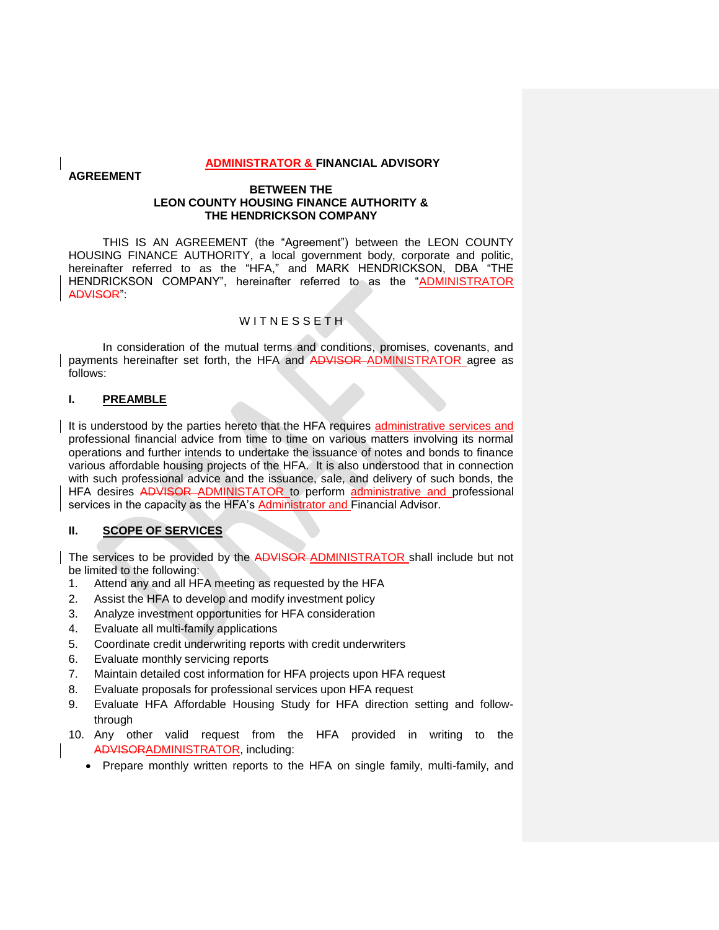#### **ADMINISTRATOR & FINANCIAL ADVISORY**

### **AGREEMENT**

#### **BETWEEN THE LEON COUNTY HOUSING FINANCE AUTHORITY & THE HENDRICKSON COMPANY**

THIS IS AN AGREEMENT (the "Agreement") between the LEON COUNTY HOUSING FINANCE AUTHORITY, a local government body, corporate and politic, hereinafter referred to as the "HFA," and MARK HENDRICKSON, DBA "THE HENDRICKSON COMPANY", hereinafter referred to as the "ADMINISTRATOR ADVISOR":

# WITNESSETH

In consideration of the mutual terms and conditions, promises, covenants, and payments hereinafter set forth, the HFA and ADVISOR-ADMINISTRATOR agree as follows:

### **I. PREAMBLE**

It is understood by the parties hereto that the HFA requires administrative services and professional financial advice from time to time on various matters involving its normal operations and further intends to undertake the issuance of notes and bonds to finance various affordable housing projects of the HFA. It is also understood that in connection with such professional advice and the issuance, sale, and delivery of such bonds, the HFA desires ADVISOR ADMINISTATOR to perform administrative and professional services in the capacity as the HFA's Administrator and Financial Advisor.

# **II. SCOPE OF SERVICES**

The services to be provided by the ADVISOR ADMINISTRATOR shall include but not be limited to the following:

- 1. Attend any and all HFA meeting as requested by the HFA
- 2. Assist the HFA to develop and modify investment policy
- 3. Analyze investment opportunities for HFA consideration
- 4. Evaluate all multi-family applications
- 5. Coordinate credit underwriting reports with credit underwriters
- 6. Evaluate monthly servicing reports
- 7. Maintain detailed cost information for HFA projects upon HFA request
- 8. Evaluate proposals for professional services upon HFA request
- 9. Evaluate HFA Affordable Housing Study for HFA direction setting and followthrough
- 10. Any other valid request from the HFA provided in writing to the ADVISORADMINISTRATOR, including:
	- Prepare monthly written reports to the HFA on single family, multi-family, and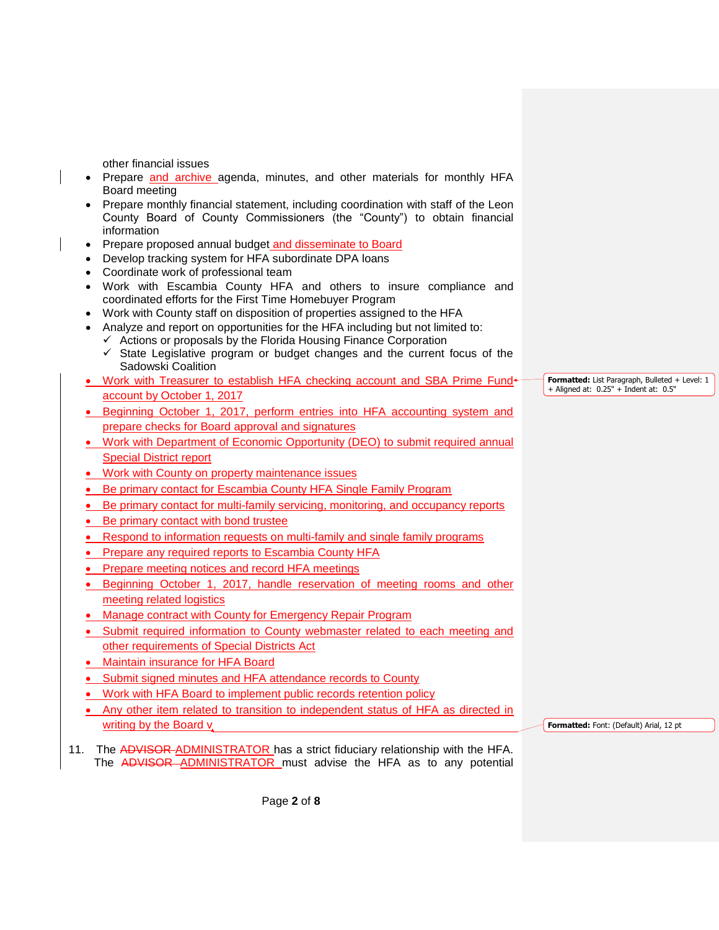other financial issues

- Prepare and archive agenda, minutes, and other materials for monthly HFA Board meeting
- Prepare monthly financial statement, including coordination with staff of the Leon County Board of County Commissioners (the "County") to obtain financial information
- Prepare proposed annual budget and disseminate to Board
- Develop tracking system for HFA subordinate DPA loans
- Coordinate work of professional team
- Work with Escambia County HFA and others to insure compliance and coordinated efforts for the First Time Homebuyer Program
- Work with County staff on disposition of properties assigned to the HFA
- Analyze and report on opportunities for the HFA including but not limited to:  $\checkmark$  Actions or proposals by the Florida Housing Finance Corporation
	- $\checkmark$  State Legislative program or budget changes and the current focus of the Sadowski Coalition
- Work with Treasurer to establish HFA checking account and SBA Prime Fund+ account by October 1, 2017
- Beginning October 1, 2017, perform entries into HFA accounting system and prepare checks for Board approval and signatures
- Work with Department of Economic Opportunity (DEO) to submit required annual Special District report
- Work with County on property maintenance issues
- Be primary contact for Escambia County HFA Single Family Program
- Be primary contact for multi-family servicing, monitoring, and occupancy reports
- Be primary contact with bond trustee
- Respond to information requests on multi-family and single family programs
- Prepare any required reports to Escambia County HFA
- Prepare meeting notices and record HFA meetings
- Beginning October 1, 2017, handle reservation of meeting rooms and other meeting related logistics
- Manage contract with County for Emergency Repair Program
- Submit required information to County webmaster related to each meeting and other requirements of Special Districts Act
- Maintain insurance for HFA Board
- Submit signed minutes and HFA attendance records to County
- Work with HFA Board to implement public records retention policy
- Any other item related to transition to independent status of HFA as directed in writing by the Board v
- 11. The ADVISOR-ADMINISTRATOR has a strict fiduciary relationship with the HFA. The ADVISOR ADMINISTRATOR must advise the HFA as to any potential

**Formatted:** List Paragraph, Bulleted + Level: 1 + Aligned at: 0.25" + Indent at: 0.5"

**Formatted:** Font: (Default) Arial, 12 pt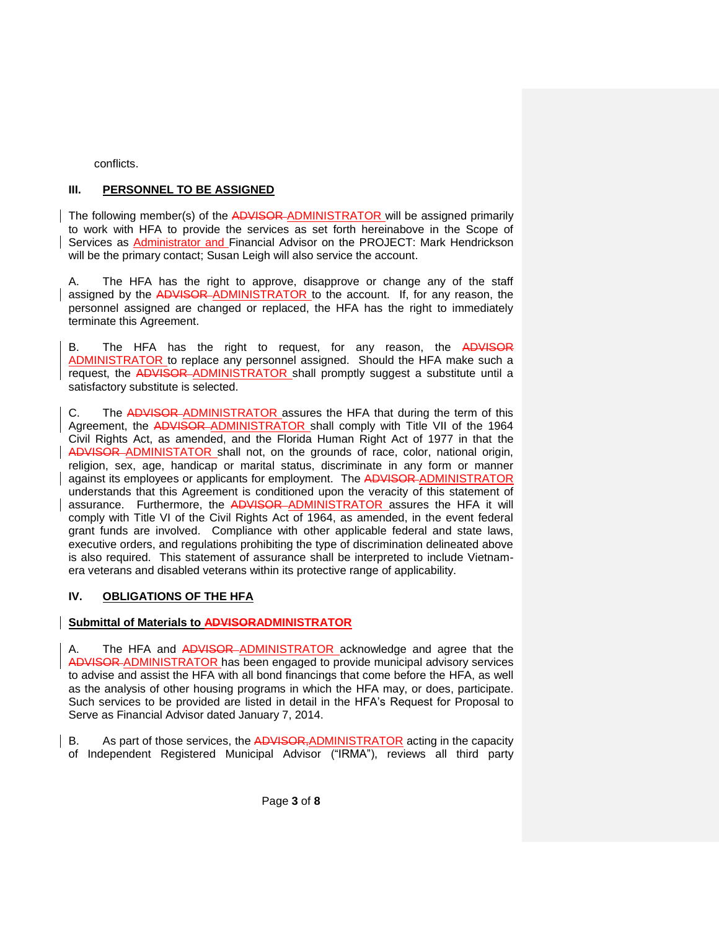conflicts.

# **III. PERSONNEL TO BE ASSIGNED**

The following member(s) of the ADVISOR-ADMINISTRATOR will be assigned primarily to work with HFA to provide the services as set forth hereinabove in the Scope of Services as Administrator and Financial Advisor on the PROJECT: Mark Hendrickson will be the primary contact; Susan Leigh will also service the account.

A. The HFA has the right to approve, disapprove or change any of the staff assigned by the ADVISOR ADMINISTRATOR to the account. If, for any reason, the personnel assigned are changed or replaced, the HFA has the right to immediately terminate this Agreement.

B. The HFA has the right to request, for any reason, the ADVISOR ADMINISTRATOR to replace any personnel assigned. Should the HFA make such a request, the ADVISOR-ADMINISTRATOR shall promptly suggest a substitute until a satisfactory substitute is selected.

C. The ADVISOR-ADMINISTRATOR assures the HFA that during the term of this Agreement, the ADVISOR ADMINISTRATOR shall comply with Title VII of the 1964 Civil Rights Act, as amended, and the Florida Human Right Act of 1977 in that the ADVISOR ADMINISTATOR shall not, on the grounds of race, color, national origin, religion, sex, age, handicap or marital status, discriminate in any form or manner against its employees or applicants for employment. The ADVISOR ADMINISTRATOR understands that this Agreement is conditioned upon the veracity of this statement of assurance. Furthermore, the ADVISOR ADMINISTRATOR assures the HFA it will comply with Title VI of the Civil Rights Act of 1964, as amended, in the event federal grant funds are involved. Compliance with other applicable federal and state laws, executive orders, and regulations prohibiting the type of discrimination delineated above is also required. This statement of assurance shall be interpreted to include Vietnamera veterans and disabled veterans within its protective range of applicability.

# **IV. OBLIGATIONS OF THE HFA**

### **Submittal of Materials to ADVISORADMINISTRATOR**

A. The HFA and ADVISOR ADMINISTRATOR acknowledge and agree that the ADVISOR ADMINISTRATOR has been engaged to provide municipal advisory services to advise and assist the HFA with all bond financings that come before the HFA, as well as the analysis of other housing programs in which the HFA may, or does, participate. Such services to be provided are listed in detail in the HFA's Request for Proposal to Serve as Financial Advisor dated January 7, 2014.

B. As part of those services, the ADVISOR, ADMINISTRATOR acting in the capacity of Independent Registered Municipal Advisor ("IRMA"), reviews all third party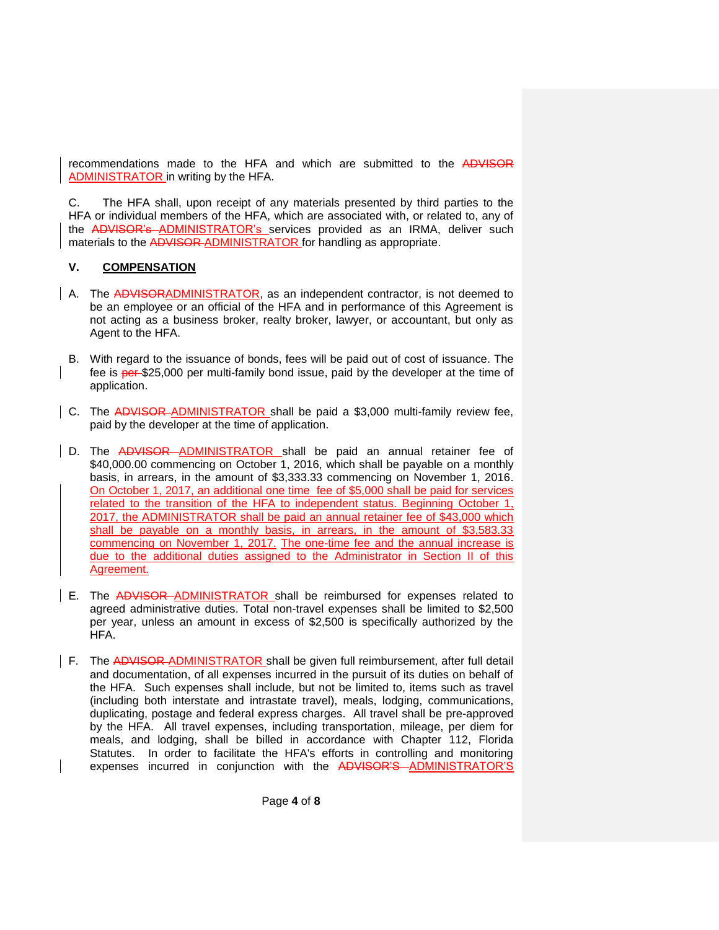recommendations made to the HFA and which are submitted to the ADVISOR ADMINISTRATOR in writing by the HFA.

C. The HFA shall, upon receipt of any materials presented by third parties to the HFA or individual members of the HFA, which are associated with, or related to, any of the ADVISOR's ADMINISTRATOR's services provided as an IRMA, deliver such materials to the ADVISOR-ADMINISTRATOR for handling as appropriate.

# **V. COMPENSATION**

- A. The ADVISORADMINISTRATOR, as an independent contractor, is not deemed to be an employee or an official of the HFA and in performance of this Agreement is not acting as a business broker, realty broker, lawyer, or accountant, but only as Agent to the HFA.
	- B. With regard to the issuance of bonds, fees will be paid out of cost of issuance. The fee is per \$25,000 per multi-family bond issue, paid by the developer at the time of application.
- C. The ADVISOR-ADMINISTRATOR shall be paid a \$3,000 multi-family review fee, paid by the developer at the time of application.
- D. The ADVISOR ADMINISTRATOR shall be paid an annual retainer fee of \$40,000.00 commencing on October 1, 2016, which shall be payable on a monthly basis, in arrears, in the amount of \$3,333.33 commencing on November 1, 2016. On October 1, 2017, an additional one time fee of \$5,000 shall be paid for services related to the transition of the HFA to independent status. Beginning October 1, 2017, the ADMINISTRATOR shall be paid an annual retainer fee of \$43,000 which shall be payable on a monthly basis, in arrears, in the amount of \$3,583.33 commencing on November 1, 2017. The one-time fee and the annual increase is due to the additional duties assigned to the Administrator in Section II of this Agreement.
- E. The ADVISOR ADMINISTRATOR shall be reimbursed for expenses related to agreed administrative duties. Total non-travel expenses shall be limited to \$2,500 per year, unless an amount in excess of \$2,500 is specifically authorized by the HFA.
- F. The ADVISOR-ADMINISTRATOR shall be given full reimbursement, after full detail and documentation, of all expenses incurred in the pursuit of its duties on behalf of the HFA. Such expenses shall include, but not be limited to, items such as travel (including both interstate and intrastate travel), meals, lodging, communications, duplicating, postage and federal express charges. All travel shall be pre-approved by the HFA. All travel expenses, including transportation, mileage, per diem for meals, and lodging, shall be billed in accordance with Chapter 112, Florida Statutes. In order to facilitate the HFA's efforts in controlling and monitoring expenses incurred in conjunction with the ADVISOR'S ADMINISTRATOR'S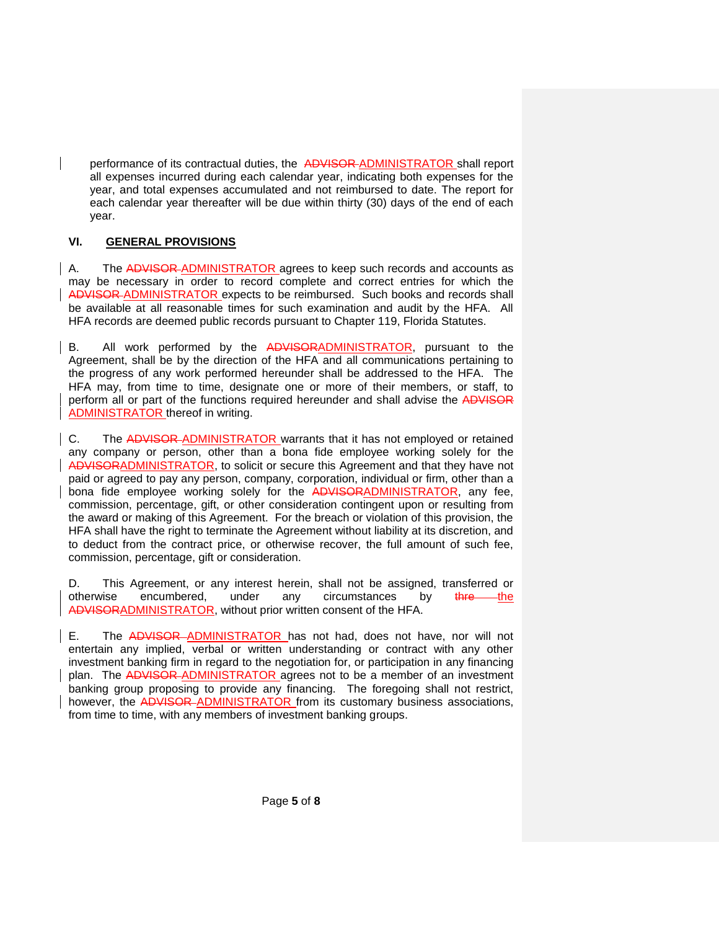performance of its contractual duties, the ADVISOR ADMINISTRATOR shall report all expenses incurred during each calendar year, indicating both expenses for the year, and total expenses accumulated and not reimbursed to date. The report for each calendar year thereafter will be due within thirty (30) days of the end of each year.

# **VI. GENERAL PROVISIONS**

A. The ADVISOR ADMINISTRATOR agrees to keep such records and accounts as may be necessary in order to record complete and correct entries for which the ADVISOR ADMINISTRATOR expects to be reimbursed. Such books and records shall be available at all reasonable times for such examination and audit by the HFA. All HFA records are deemed public records pursuant to Chapter 119, Florida Statutes.

B. All work performed by the ADVISORADMINISTRATOR, pursuant to the Agreement, shall be by the direction of the HFA and all communications pertaining to the progress of any work performed hereunder shall be addressed to the HFA. The HFA may, from time to time, designate one or more of their members, or staff, to perform all or part of the functions required hereunder and shall advise the ADVISOR ADMINISTRATOR thereof in writing.

C. The ADVISOR-ADMINISTRATOR warrants that it has not employed or retained any company or person, other than a bona fide employee working solely for the ADVISORADMINISTRATOR, to solicit or secure this Agreement and that they have not paid or agreed to pay any person, company, corporation, individual or firm, other than a bona fide employee working solely for the ADVISORADMINISTRATOR, any fee, commission, percentage, gift, or other consideration contingent upon or resulting from the award or making of this Agreement. For the breach or violation of this provision, the HFA shall have the right to terminate the Agreement without liability at its discretion, and to deduct from the contract price, or otherwise recover, the full amount of such fee, commission, percentage, gift or consideration.

D. This Agreement, or any interest herein, shall not be assigned, transferred or otherwise encumbered, under any circumstances by thre the ADVISORADMINISTRATOR, without prior written consent of the HFA.

E. The ADVISOR-ADMINISTRATOR has not had, does not have, nor will not entertain any implied, verbal or written understanding or contract with any other investment banking firm in regard to the negotiation for, or participation in any financing plan. The ADVISOR ADMINISTRATOR agrees not to be a member of an investment banking group proposing to provide any financing. The foregoing shall not restrict, however, the ADVISOR-ADMINISTRATOR from its customary business associations, from time to time, with any members of investment banking groups.

Page **5** of **8**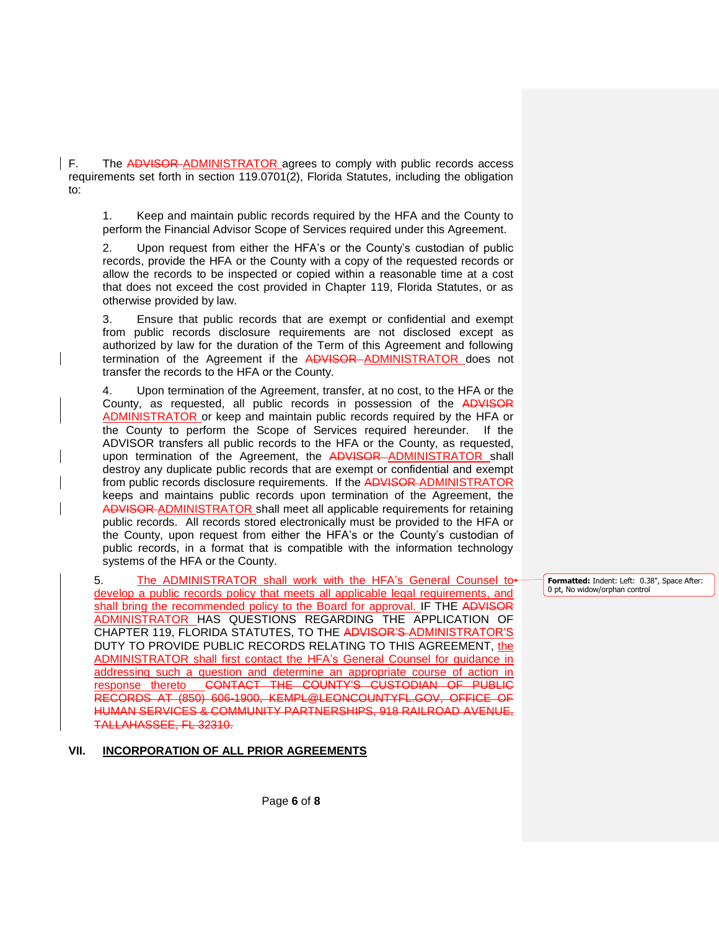F. The ADVISOR-ADMINISTRATOR agrees to comply with public records access requirements set forth in section 119.0701(2), Florida Statutes, including the obligation to:

1. Keep and maintain public records required by the HFA and the County to perform the Financial Advisor Scope of Services required under this Agreement.

2. Upon request from either the HFA's or the County's custodian of public records, provide the HFA or the County with a copy of the requested records or allow the records to be inspected or copied within a reasonable time at a cost that does not exceed the cost provided in Chapter 119, Florida Statutes, or as otherwise provided by law.

3. Ensure that public records that are exempt or confidential and exempt from public records disclosure requirements are not disclosed except as authorized by law for the duration of the Term of this Agreement and following termination of the Agreement if the ADVISOR-ADMINISTRATOR does not transfer the records to the HFA or the County.

4. Upon termination of the Agreement, transfer, at no cost, to the HFA or the County, as requested, all public records in possession of the ADVISOR ADMINISTRATOR or keep and maintain public records required by the HFA or the County to perform the Scope of Services required hereunder. If the ADVISOR transfers all public records to the HFA or the County, as requested, upon termination of the Agreement, the ADVISOR-ADMINISTRATOR shall destroy any duplicate public records that are exempt or confidential and exempt from public records disclosure requirements. If the ADVISOR-ADMINISTRATOR keeps and maintains public records upon termination of the Agreement, the ADVISOR ADMINISTRATOR shall meet all applicable requirements for retaining public records. All records stored electronically must be provided to the HFA or the County, upon request from either the HFA's or the County's custodian of public records, in a format that is compatible with the information technology systems of the HFA or the County.

5. The ADMINISTRATOR shall work with the HFA's General Counsel to develop a public records policy that meets all applicable legal requirements, and shall bring the recommended policy to the Board for approval. IF THE ADVISOR ADMINISTRATOR HAS QUESTIONS REGARDING THE APPLICATION OF CHAPTER 119, FLORIDA STATUTES, TO THE ADVISOR'S ADMINISTRATOR'S DUTY TO PROVIDE PUBLIC RECORDS RELATING TO THIS AGREEMENT, the ADMINISTRATOR shall first contact the HFA's General Counsel for guidance in addressing such a question and determine an appropriate course of action in response thereto CONTACT THE COUNTY'S CUSTODIAN OF PUBLIC RECORDS AT (850) 606-1900, KEMPL@LEONCOUNTYFL.GOV, OFFICE OF HUMAN SERVICES & COMMUNITY PARTNERSHIPS, 918 RAILROAD AVENUE, TALLAHASSEE, FL 32310.

#### **VII. INCORPORATION OF ALL PRIOR AGREEMENTS**

**Formatted:** Indent: Left: 0.38", Space After: 0 pt, No widow/orphan control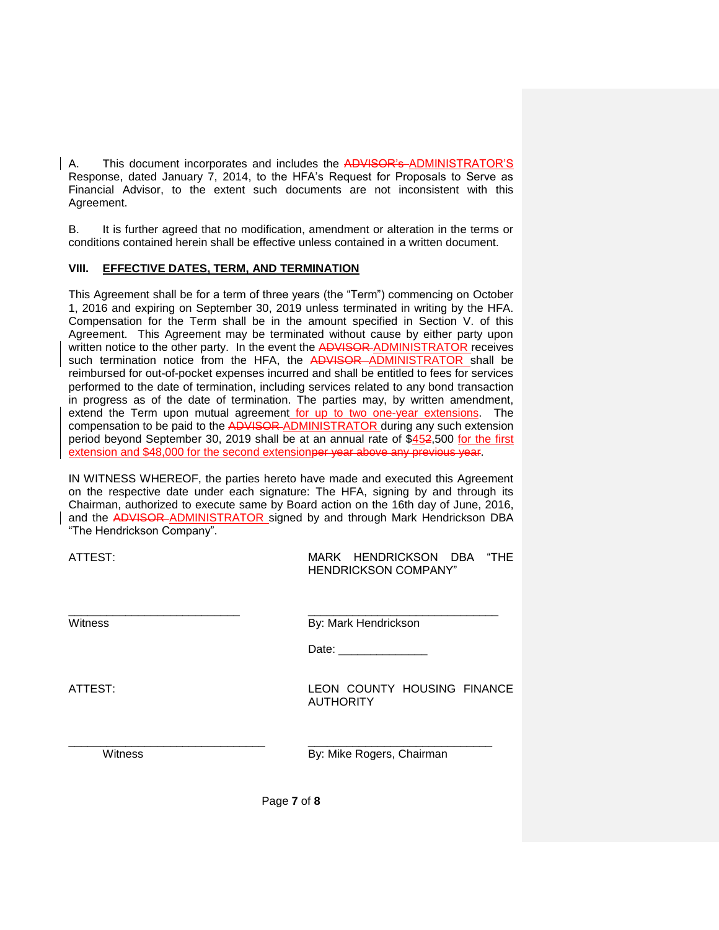A. This document incorporates and includes the ADVISOR's ADMINISTRATOR'S Response, dated January 7, 2014, to the HFA's Request for Proposals to Serve as Financial Advisor, to the extent such documents are not inconsistent with this Agreement.

B. It is further agreed that no modification, amendment or alteration in the terms or conditions contained herein shall be effective unless contained in a written document.

# **VIII. EFFECTIVE DATES, TERM, AND TERMINATION**

This Agreement shall be for a term of three years (the "Term") commencing on October 1, 2016 and expiring on September 30, 2019 unless terminated in writing by the HFA. Compensation for the Term shall be in the amount specified in Section V. of this Agreement. This Agreement may be terminated without cause by either party upon written notice to the other party. In the event the ADVISOR-ADMINISTRATOR receives such termination notice from the HFA, the ADVISOR-ADMINISTRATOR shall be reimbursed for out-of-pocket expenses incurred and shall be entitled to fees for services performed to the date of termination, including services related to any bond transaction in progress as of the date of termination. The parties may, by written amendment, extend the Term upon mutual agreement for up to two one-year extensions. The compensation to be paid to the ADVISOR ADMINISTRATOR during any such extension period beyond September 30, 2019 shall be at an annual rate of  $$452,500$  for the first extension and \$48,000 for the second extensionper year above any previous year.

IN WITNESS WHEREOF, the parties hereto have made and executed this Agreement on the respective date under each signature: The HFA, signing by and through its Chairman, authorized to execute same by Board action on the 16th day of June, 2016, and the ADVISOR ADMINISTRATOR signed by and through Mark Hendrickson DBA "The Hendrickson Company".

| ATTEST: | MARK HENDRICKSON DBA "THE<br><b>HENDRICKSON COMPANY"</b> |  |
|---------|----------------------------------------------------------|--|
|         |                                                          |  |

Witness **By: Mark Hendrickson** 

Date: \_\_\_\_\_\_\_\_\_\_\_\_\_\_

ATTEST: LEON COUNTY HOUSING FINANCE **AUTHORITY** 

Witness **By: Mike Rogers, Chairman** 

Page **7** of **8**

\_\_\_\_\_\_\_\_\_\_\_\_\_\_\_\_\_\_\_\_\_\_\_\_\_\_\_\_\_\_\_ \_\_\_\_\_\_\_\_\_\_\_\_\_\_\_\_\_\_\_\_\_\_\_\_\_\_\_\_\_